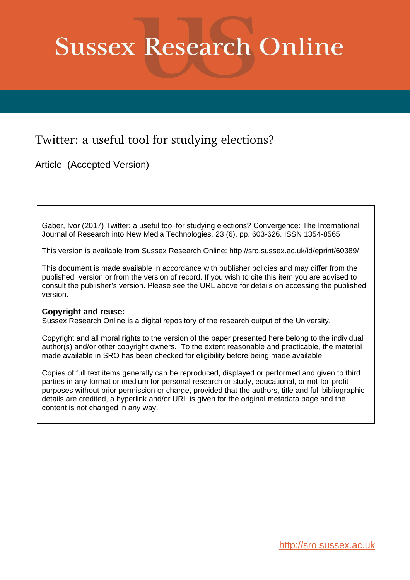# **Sussex Research Online**

## Twitter: a useful tool for studying elections?

Article (Accepted Version)

Gaber, Ivor (2017) Twitter: a useful tool for studying elections? Convergence: The International Journal of Research into New Media Technologies, 23 (6). pp. 603-626. ISSN 1354-8565

This version is available from Sussex Research Online: http://sro.sussex.ac.uk/id/eprint/60389/

This document is made available in accordance with publisher policies and may differ from the published version or from the version of record. If you wish to cite this item you are advised to consult the publisher's version. Please see the URL above for details on accessing the published version.

### **Copyright and reuse:**

Sussex Research Online is a digital repository of the research output of the University.

Copyright and all moral rights to the version of the paper presented here belong to the individual author(s) and/or other copyright owners. To the extent reasonable and practicable, the material made available in SRO has been checked for eligibility before being made available.

Copies of full text items generally can be reproduced, displayed or performed and given to third parties in any format or medium for personal research or study, educational, or not-for-profit purposes without prior permission or charge, provided that the authors, title and full bibliographic details are credited, a hyperlink and/or URL is given for the original metadata page and the content is not changed in any way.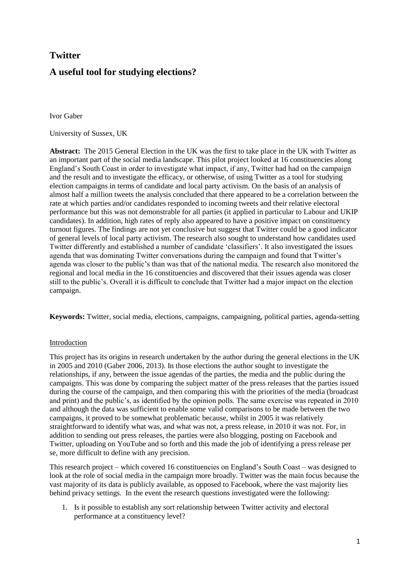# **Twitter A useful tool for studying elections?**

Ivor Gaber

University of Sussex, UK

**Abstract:** The 2015 General Election in the UK was the first to take place in the UK with Twitter as an important part of the social media landscape. This pilot project looked at 16 constituencies along England's South Coast in order to investigate what impact, if any, Twitter had had on the campaign and the result and to investigate the efficacy, or otherwise, of using Twitter as a tool for studying election campaigns in terms of candidate and local party activism. On the basis of an analysis of almost half a million tweets the analysis concluded that there appeared to be a correlation between the rate at which parties and/or candidates responded to incoming tweets and their relative electoral performance but this was not demonstrable for all parties (it applied in particular to Labour and UKIP candidates). In addition, high rates of reply also appeared to have a positive impact on constituency turnout figures. The findings are not yet conclusive but suggest that Twitter could be a good indicator of general levels of local party activism. The research also sought to understand how candidates used Twitter differently and established a number of candidate 'classifiers'. It also investigated the issues agenda that was dominating Twitter conversations during the campaign and found that Twitter's agenda was closer to the public's than was that of the national media. The research also monitored the regional and local media in the 16 constituencies and discovered that their issues agenda was closer still to the public's. Overall it is difficult to conclude that Twitter had a major impact on the election campaign.

**Keywords:** Twitter, social media, elections, campaigns, campaigning, political parties, agenda-setting

#### Introduction

This project has its origins in research undertaken by the author during the general elections in the UK in 2005 and 2010 (Gaber 2006, 2013). In those elections the author sought to investigate the relationships, if any, between the issue agendas of the parties, the media and the public during the campaigns. This was done by comparing the subject matter of the press releases that the parties issued during the course of the campaign, and then comparing this with the priorities of the media (broadcast and print) and the public's, as identified by the opinion polls. The same exercise was repeated in 2010 and although the data was sufficient to enable some valid comparisons to be made between the two campaigns, it proved to be somewhat problematic because, whilst in 2005 it was relatively straightforward to identify what was, and what was not, a press release, in 2010 it was not. For, in addition to sending out press releases, the parties were also blogging, posting on Facebook and Twitter, uploading on YouTube and so forth and this made the job of identifying a press release per se, more difficult to define with any precision.

This research project – which covered 16 constituencies on England's South Coast – was designed to look at the role of social media in the campaign more broadly. Twitter was the main focus because the vast majority of its data is publicly available, as opposed to Facebook, where the vast majority lies behind privacy settings. In the event the research questions investigated were the following:

1. Is it possible to establish any sort relationship between Twitter activity and electoral performance at a constituency level?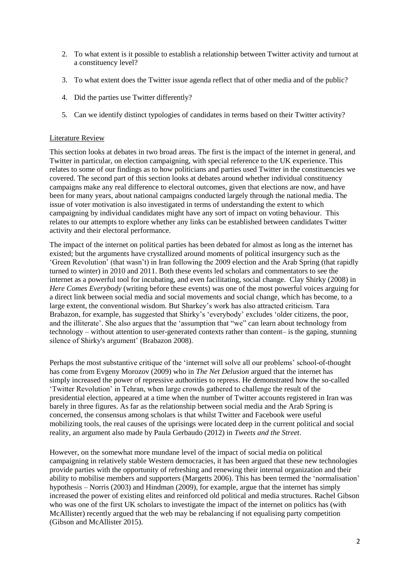- 2. To what extent is it possible to establish a relationship between Twitter activity and turnout at a constituency level?
- 3. To what extent does the Twitter issue agenda reflect that of other media and of the public?
- 4. Did the parties use Twitter differently?
- 5. Can we identify distinct typologies of candidates in terms based on their Twitter activity?

#### Literature Review

This section looks at debates in two broad areas. The first is the impact of the internet in general, and Twitter in particular, on election campaigning, with special reference to the UK experience. This relates to some of our findings as to how politicians and parties used Twitter in the constituencies we covered. The second part of this section looks at debates around whether individual constituency campaigns make any real difference to electoral outcomes, given that elections are now, and have been for many years, about national campaigns conducted largely through the national media. The issue of voter motivation is also investigated in terms of understanding the extent to which campaigning by individual candidates might have any sort of impact on voting behaviour. This relates to our attempts to explore whether any links can be established between candidates Twitter activity and their electoral performance.

The impact of the internet on political parties has been debated for almost as long as the internet has existed; but the arguments have crystallized around moments of political insurgency such as the 'Green Revolution' (that wasn't) in Iran following the 2009 election and the Arab Spring (that rapidly turned to winter) in 2010 and 2011. Both these events led scholars and commentators to see the internet as a powerful tool for incubating, and even facilitating, social change. Clay Shirky (2008) in *Here Comes Everybody* (writing before these events) was one of the most powerful voices arguing for a direct link between social media and social movements and social change, which has become, to a large extent, the conventional wisdom. But Sharkey's work has also attracted criticism. Tara Brabazon, for example, has suggested that Shirky's 'everybody' excludes 'older citizens, the poor, and the illiterate'. She also argues that the 'assumption that "we" can learn about technology from technology – without attention to user-generated contexts rather than content– is the gaping, stunning silence of Shirky's argument' (Brabazon 2008).

Perhaps the most substantive critique of the 'internet will solve all our problems' school-of-thought has come from Evgeny Morozov (2009) who in *The Net Delusion* argued that the internet has simply increased the power of repressive authorities to repress. He demonstrated how the so-called 'Twitter Revolution' in Tehran, when large crowds gathered to challenge the result of the presidential election, appeared at a time when the number of Twitter accounts registered in Iran was barely in three figures. As far as the relationship between social media and the Arab Spring is concerned, the consensus among scholars is that whilst Twitter and Facebook were useful mobilizing tools, the real causes of the uprisings were located deep in the current political and social reality, an argument also made by Paula Gerbaudo (2012) in *Tweets and the Street*.

However, on the somewhat more mundane level of the impact of social media on political campaigning in relatively stable Western democracies, it has been argued that these new technologies provide parties with the opportunity of refreshing and renewing their internal organization and their ability to mobilise members and supporters (Margetts 2006). This has been termed the 'normalisation' hypothesis – Norris (2003) and Hindman (2009), for example, argue that the internet has simply increased the power of existing elites and reinforced old political and media structures. Rachel Gibson who was one of the first UK scholars to investigate the impact of the internet on politics has (with McAllister) recently argued that the web may be rebalancing if not equalising party competition (Gibson and McAllister 2015).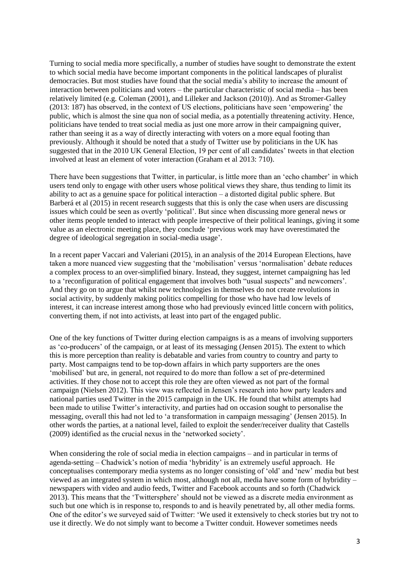Turning to social media more specifically, a number of studies have sought to demonstrate the extent to which social media have become important components in the political landscapes of pluralist democracies. But most studies have found that the social media's ability to increase the amount of interaction between politicians and voters – the particular characteristic of social media – has been relatively limited (e.g. Coleman (2001), and Lilleker and Jackson (2010)). And as Stromer-Galley (2013: 187) has observed, in the context of US elections, politicians have seen 'empowering' the public, which is almost the sine qua non of social media, as a potentially threatening activity. Hence, politicians have tended to treat social media as just one more arrow in their campaigning quiver, rather than seeing it as a way of directly interacting with voters on a more equal footing than previously. Although it should be noted that a study of Twitter use by politicians in the UK has suggested that in the 2010 UK General Election, 19 per cent of all candidates' tweets in that election involved at least an element of voter interaction (Graham et al 2013: 710).

There have been suggestions that Twitter, in particular, is little more than an 'echo chamber' in which users tend only to engage with other users whose political views they share, thus tending to limit its ability to act as a genuine space for political interaction – a distorted digital public sphere. But Barberá et al (2015) in recent research suggests that this is only the case when users are discussing issues which could be seen as overtly 'political'. But since when discussing more general news or other items people tended to interact with people irrespective of their political leanings, giving it some value as an electronic meeting place, they conclude 'previous work may have overestimated the degree of ideological segregation in social-media usage'.

In a recent paper Vaccari and Valeriani (2015), in an analysis of the 2014 European Elections, have taken a more nuanced view suggesting that the 'mobilisation' versus 'normalisation' debate reduces a complex process to an over-simplified binary. Instead, they suggest, internet campaigning has led to a 'reconfiguration of political engagement that involves both "usual suspects" and newcomers'. And they go on to argue that whilst new technologies in themselves do not create revolutions in social activity, by suddenly making politics compelling for those who have had low levels of interest, it can increase interest among those who had previously evinced little concern with politics, converting them, if not into activists, at least into part of the engaged public.

One of the key functions of Twitter during election campaigns is as a means of involving supporters as 'co-producers' of the campaign, or at least of its messaging (Jensen 2015). The extent to which this is more perception than reality is debatable and varies from country to country and party to party. Most campaigns tend to be top-down affairs in which party supporters are the ones 'mobilised' but are, in general, not required to do more than follow a set of pre-determined activities. If they chose not to accept this role they are often viewed as not part of the formal campaign (Nielsen 2012). This view was reflected in Jensen's research into how party leaders and national parties used Twitter in the 2015 campaign in the UK. He found that whilst attempts had been made to utilise Twitter's interactivity, and parties had on occasion sought to personalise the messaging, overall this had not led to 'a transformation in campaign messaging' (Jensen 2015). In other words the parties, at a national level, failed to exploit the sender/receiver duality that Castells (2009) identified as the crucial nexus in the 'networked society'.

When considering the role of social media in election campaigns – and in particular in terms of agenda-setting – Chadwick's notion of media 'hybridity' is an extremely useful approach. He conceptualises contemporary media systems as no longer consisting of 'old' and 'new' media but best viewed as an integrated system in which most, although not all, media have some form of hybridity – newspapers with video and audio feeds, Twitter and Facebook accounts and so forth (Chadwick 2013). This means that the 'Twittersphere' should not be viewed as a discrete media environment as such but one which is in response to, responds to and is heavily penetrated by, all other media forms. One of the editor's we surveyed said of Twitter: 'We used it extensively to check stories but try not to use it directly. We do not simply want to become a Twitter conduit. However sometimes needs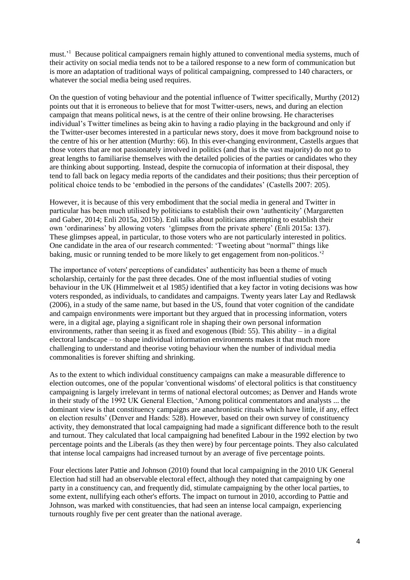must.<sup>21</sup> Because political campaigners remain highly attuned to conventional media systems, much of their activity on social media tends not to be a tailored response to a new form of communication but is more an adaptation of traditional ways of political campaigning, compressed to 140 characters, or whatever the social media being used requires.

On the question of voting behaviour and the potential influence of Twitter specifically, Murthy (2012) points out that it is erroneous to believe that for most Twitter-users, news, and during an election campaign that means political news, is at the centre of their online browsing. He characterises individual's Twitter timelines as being akin to having a radio playing in the background and only if the Twitter-user becomes interested in a particular news story, does it move from background noise to the centre of his or her attention (Murthy: 66). In this ever-changing environment, Castells argues that those voters that are not passionately involved in politics (and that is the vast majority) do not go to great lengths to familiarise themselves with the detailed policies of the parties or candidates who they are thinking about supporting. Instead, despite the cornucopia of information at their disposal, they tend to fall back on legacy media reports of the candidates and their positions; thus their perception of political choice tends to be 'embodied in the persons of the candidates' (Castells 2007: 205).

However, it is because of this very embodiment that the social media in general and Twitter in particular has been much utilised by politicians to establish their own 'authenticity' (Margaretten and Gaber, 2014; Enli 2015a, 2015b). Enli talks about politicians attempting to establish their own 'ordinariness' by allowing voters 'glimpses from the private sphere' (Enli 2015a: 137). These glimpses appeal, in particular, to those voters who are not particularly interested in politics. One candidate in the area of our research commented: 'Tweeting about "normal" things like baking, music or running tended to be more likely to get engagement from non-politicos.<sup>2</sup>

The importance of voters' perceptions of candidates' authenticity has been a theme of much scholarship, certainly for the past three decades. One of the most influential studies of voting behaviour in the UK (Himmelweit et al 1985*)* identified that a key factor in voting decisions was how voters responded, as individuals, to candidates and campaigns. Twenty years later Lay and Redlawsk (2006), in a study of the same name, but based in the US, found that voter cognition of the candidate and campaign environments were important but they argued that in processing information, voters were, in a digital age, playing a significant role in shaping their own personal information environments, rather than seeing it as fixed and exogenous (Ibid: 55). This ability – in a digital electoral landscape – to shape individual information environments makes it that much more challenging to understand and theorise voting behaviour when the number of individual media commonalities is forever shifting and shrinking.

As to the extent to which individual constituency campaigns can make a measurable difference to election outcomes, one of the popular 'conventional wisdoms' of electoral politics is that constituency campaigning is largely irrelevant in terms of national electoral outcomes; as Denver and Hands wrote in their study of the 1992 UK General Election, 'Among political commentators and analysts ... the dominant view is that constituency campaigns are anachronistic rituals which have little, if any, effect on election results' (Denver and Hands: 528). However, based on their own survey of constituency activity, they demonstrated that local campaigning had made a significant difference both to the result and turnout. They calculated that local campaigning had benefited Labour in the 1992 election by two percentage points and the Liberals (as they then were) by four percentage points. They also calculated that intense local campaigns had increased turnout by an average of five percentage points.

Four elections later Pattie and Johnson (2010) found that local campaigning in the 2010 UK General Election had still had an observable electoral effect, although they noted that campaigning by one party in a constituency can, and frequently did, stimulate campaigning by the other local parties, to some extent, nullifying each other's efforts. The impact on turnout in 2010, according to Pattie and Johnson, was marked with constituencies, that had seen an intense local campaign, experiencing turnouts roughly five per cent greater than the national average.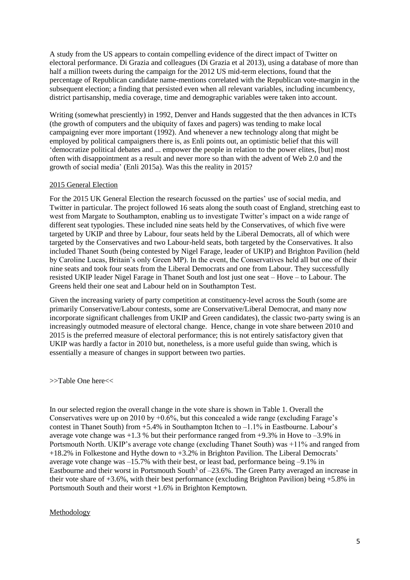A study from the US appears to contain compelling evidence of the direct impact of Twitter on electoral performance. Di Grazia and colleagues (Di Grazia et al 2013), using a database of more than half a million tweets during the campaign for the 2012 US mid-term elections, found that the percentage of Republican candidate name-mentions correlated with the Republican vote-margin in the subsequent election; a finding that persisted even when all relevant variables, including incumbency, district partisanship, media coverage, time and demographic variables were taken into account.

Writing (somewhat presciently) in 1992, Denver and Hands suggested that the then advances in ICTs (the growth of computers and the ubiquity of faxes and pagers) was tending to make local campaigning ever more important (1992). And whenever a new technology along that might be employed by political campaigners there is, as Enli points out, an optimistic belief that this will 'democratize political debates and ... empower the people in relation to the power elites, [but] most often with disappointment as a result and never more so than with the advent of Web 2.0 and the growth of social media' (Enli 2015a). Was this the reality in 2015?

#### 2015 General Election

For the 2015 UK General Election the research focussed on the parties' use of social media, and Twitter in particular. The project followed 16 seats along the south coast of England, stretching east to west from Margate to Southampton, enabling us to investigate Twitter's impact on a wide range of different seat typologies. These included nine seats held by the Conservatives, of which five were targeted by UKIP and three by Labour, four seats held by the Liberal Democrats, all of which were targeted by the Conservatives and two Labour-held seats, both targeted by the Conservatives. It also included Thanet South (being contested by Nigel Farage, leader of UKIP) and Brighton Pavilion (held by Caroline Lucas, Britain's only Green MP). In the event, the Conservatives held all but one of their nine seats and took four seats from the Liberal Democrats and one from Labour. They successfully resisted UKIP leader Nigel Farage in Thanet South and lost just one seat – Hove – to Labour. The Greens held their one seat and Labour held on in Southampton Test.

Given the increasing variety of party competition at constituency-level across the South (some are primarily Conservative/Labour contests, some are Conservative/Liberal Democrat, and many now incorporate significant challenges from UKIP and Green candidates), the classic two-party swing is an increasingly outmoded measure of electoral change. Hence, change in vote share between 2010 and 2015 is the preferred measure of electoral performance; this is not entirely satisfactory given that UKIP was hardly a factor in 2010 but, nonetheless, is a more useful guide than swing, which is essentially a measure of changes in support between two parties.

>>Table One here<<

In our selected region the overall change in the vote share is shown in Table 1. Overall the Conservatives were up on 2010 by +0.6%, but this concealed a wide range (excluding Farage's contest in Thanet South) from  $+5.4\%$  in Southampton Itchen to  $-1.1\%$  in Eastbourne. Labour's average vote change was +1.3 % but their performance ranged from +9.3% in Hove to –3.9% in Portsmouth North. UKIP's average vote change (excluding Thanet South) was +11% and ranged from +18.2% in Folkestone and Hythe down to +3.2% in Brighton Pavilion. The Liberal Democrats' average vote change was –15.7% with their best, or least bad, performance being –9.1% in Eastbourne and their worst in Portsmouth South<sup>3</sup> of -23.6%. The Green Party averaged an increase in their vote share of  $+3.6\%$ , with their best performance (excluding Brighton Pavilion) being  $+5.8\%$  in Portsmouth South and their worst +1.6% in Brighton Kemptown.

#### Methodology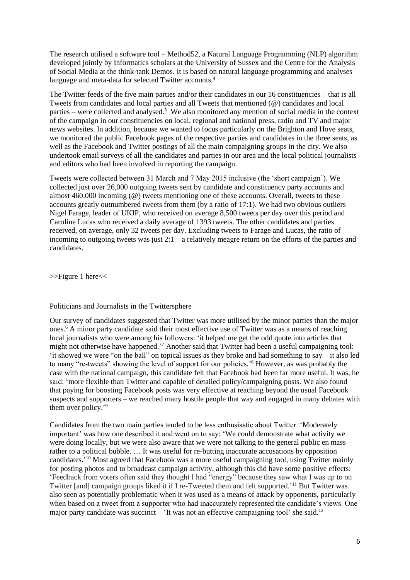The research utilised a software tool – Method52, a Natural Language Programming (NLP) algorithm developed jointly by Informatics scholars at the University of Sussex and the Centre for the Analysis of Social Media at the think-tank Demos. It is based on natural language programming and analyses language and meta-data for selected Twitter accounts.<sup>4</sup>

The Twitter feeds of the five main parties and/or their candidates in our 16 constituencies – that is all Tweets from candidates and local parties and all Tweets that mentioned (@) candidates and local parties – were collected and analysed. 5 We also monitored any mention of social media in the context of the campaign in our constituencies on local, regional and national press, radio and TV and major news websites. In addition, because we wanted to focus particularly on the Brighton and Hove seats, we monitored the public Facebook pages of the respective parties and candidates in the three seats, as well as the Facebook and Twitter postings of all the main campaigning groups in the city. We also undertook email surveys of all the candidates and parties in our area and the local political journalists and editors who had been involved in reporting the campaign.

Tweets were collected between 31 March and 7 May 2015 inclusive (the 'short campaign'). We collected just over 26,000 outgoing tweets sent by candidate and constituency party accounts and almost  $460,000$  incoming ( $@$ ) tweets mentioning one of these accounts. Overall, tweets to these accounts greatly outnumbered tweets from them (by a ratio of 17:1). We had two obvious outliers – Nigel Farage, leader of UKIP, who received on average 8,500 tweets per day over this period and Caroline Lucas who received a daily average of 1393 tweets. The other candidates and parties received, on average, only 32 tweets per day. Excluding tweets to Farage and Lucas, the ratio of incoming to outgoing tweets was just 2:1 – a relatively meagre return on the efforts of the parties and candidates.

>>Figure 1 here<<

#### Politicians and Journalists in the Twittersphere

Our survey of candidates suggested that Twitter was more utilised by the minor parties than the major ones. <sup>6</sup> A minor party candidate said their most effective use of Twitter was as a means of reaching local journalists who were among his followers: 'it helped me get the odd quote into articles that might not otherwise have happened.'<sup>7</sup> Another said that Twitter had been a useful campaigning tool: 'it showed we were "on the ball" on topical issues as they broke and had something to say – it also led to many "re-tweets" showing the level of support for our policies.<sup>'8</sup> However, as was probably the case with the national campaign, this candidate felt that Facebook had been far more useful. It was, he said: 'more flexible than Twitter and capable of detailed policy/campaigning posts. We also found that paying for boosting Facebook posts was very effective at reaching beyond the usual Facebook suspects and supporters – we reached many hostile people that way and engaged in many debates with them over policy.' 9

Candidates from the two main parties tended to be less enthusiastic about Twitter. 'Moderately important' was how one described it and went on to say: 'We could demonstrate what activity we were doing locally, but we were also aware that we were not talking to the general public en mass – rather to a political bubble. … It was useful for re-butting inaccurate accusations by opposition candidates.<sup>'10</sup> Most agreed that Facebook was a more useful campaigning tool, using Twitter mainly for posting photos and to broadcast campaign activity, although this did have some positive effects: 'Feedback from voters often said they thought I had "energy" because they saw what I was up to on Twitter [and] campaign groups liked it if I re-Tweeted them and felt supported.'<sup>11</sup> But Twitter was also seen as potentially problematic when it was used as a means of attack by opponents, particularly when based on a tweet from a supporter who had inaccurately represented the candidate's views. One major party candidate was succinct – 'It was not an effective campaigning tool' she said.<sup>12</sup>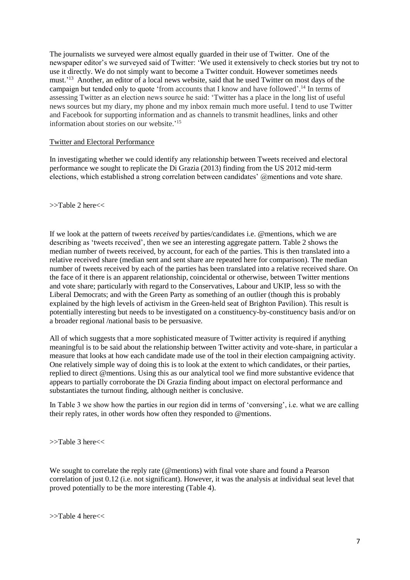The journalists we surveyed were almost equally guarded in their use of Twitter. One of the newspaper editor's we surveyed said of Twitter: 'We used it extensively to check stories but try not to use it directly. We do not simply want to become a Twitter conduit. However sometimes needs must.<sup>'13</sup> Another, an editor of a local news website, said that he used Twitter on most days of the campaign but tended only to quote 'from accounts that I know and have followed'.<sup>14</sup> In terms of assessing Twitter as an election news source he said: 'Twitter has a place in the long list of useful news sources but my diary, my phone and my inbox remain much more useful. I tend to use Twitter and Facebook for supporting information and as channels to transmit headlines, links and other information about stories on our website.' 15

#### Twitter and Electoral Performance

In investigating whether we could identify any relationship between Tweets received and electoral performance we sought to replicate the Di Grazia (2013) finding from the US 2012 mid-term elections, which established a strong correlation between candidates' @mentions and vote share.

>>Table 2 here<<

If we look at the pattern of tweets *received* by parties/candidates i.e. @mentions, which we are describing as 'tweets received', then we see an interesting aggregate pattern. Table 2 shows the median number of tweets received, by account, for each of the parties. This is then translated into a relative received share (median sent and sent share are repeated here for comparison). The median number of tweets received by each of the parties has been translated into a relative received share. On the face of it there is an apparent relationship, coincidental or otherwise, between Twitter mentions and vote share; particularly with regard to the Conservatives, Labour and UKIP, less so with the Liberal Democrats; and with the Green Party as something of an outlier (though this is probably explained by the high levels of activism in the Green-held seat of Brighton Pavilion). This result is potentially interesting but needs to be investigated on a constituency-by-constituency basis and/or on a broader regional /national basis to be persuasive.

All of which suggests that a more sophisticated measure of Twitter activity is required if anything meaningful is to be said about the relationship between Twitter activity and vote-share, in particular a measure that looks at how each candidate made use of the tool in their election campaigning activity. One relatively simple way of doing this is to look at the extent to which candidates, or their parties, replied to direct @mentions. Using this as our analytical tool we find more substantive evidence that appears to partially corroborate the Di Grazia finding about impact on electoral performance and substantiates the turnout finding, although neither is conclusive.

In Table 3 we show how the parties in our region did in terms of 'conversing', i.e. what we are calling their reply rates, in other words how often they responded to @mentions.

>>Table 3 here<<

We sought to correlate the reply rate (@mentions) with final vote share and found a Pearson correlation of just 0.12 (i.e. not significant). However, it was the analysis at individual seat level that proved potentially to be the more interesting (Table 4).

>>Table 4 here<<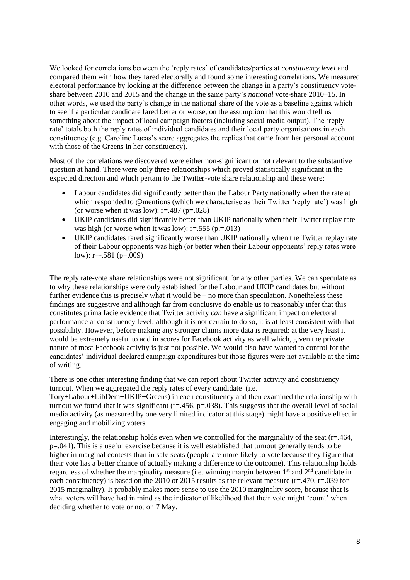We looked for correlations between the 'reply rates' of candidates/parties at *constituency level* and compared them with how they fared electorally and found some interesting correlations. We measured electoral performance by looking at the difference between the change in a party's constituency voteshare between 2010 and 2015 and the change in the same party's *national* vote-share 2010–15. In other words, we used the party's change in the national share of the vote as a baseline against which to see if a particular candidate fared better or worse, on the assumption that this would tell us something about the impact of local campaign factors (including social media output). The 'reply rate' totals both the reply rates of individual candidates and their local party organisations in each constituency (e.g. Caroline Lucas's score aggregates the replies that came from her personal account with those of the Greens in her constituency).

Most of the correlations we discovered were either non-significant or not relevant to the substantive question at hand. There were only three relationships which proved statistically significant in the expected direction and which pertain to the Twitter-vote share relationship and these were:

- Labour candidates did significantly better than the Labour Party nationally when the rate at which responded to @mentions (which we characterise as their Twitter 'reply rate') was high (or worse when it was low):  $r = .487$  ( $p = .028$ )
- UKIP candidates did significantly better than UKIP nationally when their Twitter replay rate was high (or worse when it was low):  $r = .555$  (p.=.013)
- UKIP candidates fared significantly worse than UKIP nationally when the Twitter replay rate of their Labour opponents was high (or better when their Labour opponents' reply rates were low):  $r=-.581$  ( $p=.009$ )

The reply rate-vote share relationships were not significant for any other parties. We can speculate as to why these relationships were only established for the Labour and UKIP candidates but without further evidence this is precisely what it would be – no more than speculation. Nonetheless these findings are suggestive and although far from conclusive do enable us to reasonably infer that this constitutes prima facie evidence that Twitter activity *can* have a significant impact on electoral performance at constituency level; although it is not certain to do so, it is at least consistent with that possibility. However, before making any stronger claims more data is required: at the very least it would be extremely useful to add in scores for Facebook activity as well which, given the private nature of most Facebook activity is just not possible. We would also have wanted to control for the candidates' individual declared campaign expenditures but those figures were not available at the time of writing.

There is one other interesting finding that we can report about Twitter activity and constituency turnout. When we aggregated the reply rates of every candidate (i.e.

Tory+Labour+LibDem+UKIP+Greens) in each constituency and then examined the relationship with turnout we found that it was significant ( $r=456$ ,  $p=.038$ ). This suggests that the overall level of social media activity (as measured by one very limited indicator at this stage) might have a positive effect in engaging and mobilizing voters.

Interestingly, the relationship holds even when we controlled for the marginality of the seat (r=.464, p=.041). This is a useful exercise because it is well established that turnout generally tends to be higher in marginal contests than in safe seats (people are more likely to vote because they figure that their vote has a better chance of actually making a difference to the outcome). This relationship holds regardless of whether the marginality measure (i.e. winning margin between 1<sup>st</sup> and 2<sup>nd</sup> candidate in each constituency) is based on the 2010 or 2015 results as the relevant measure (r=.470, r=.039 for 2015 marginality). It probably makes more sense to use the 2010 marginality score, because that is what voters will have had in mind as the indicator of likelihood that their vote might 'count' when deciding whether to vote or not on 7 May.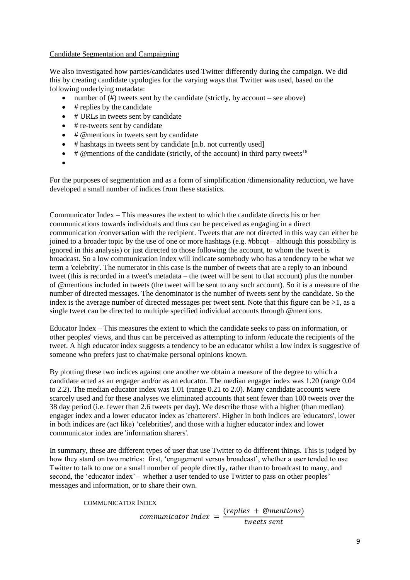#### Candidate Segmentation and Campaigning

We also investigated how parties/candidates used Twitter differently during the campaign. We did this by creating candidate typologies for the varying ways that Twitter was used, based on the following underlying metadata:

- number of  $(\#)$  tweets sent by the candidate (strictly, by account see above)
- $\bullet$  # replies by the candidate
- # URLs in tweets sent by candidate
- $\bullet$  # re-tweets sent by candidate
- $\bullet$  # @ mentions in tweets sent by candidate
- $\bullet$  # hashtags in tweets sent by candidate [n.b. not currently used]
- $\bullet$  # @mentions of the candidate (strictly, of the account) in third party tweets<sup>16</sup>
- $\bullet$

For the purposes of segmentation and as a form of simplification /dimensionality reduction, we have developed a small number of indices from these statistics.

Communicator Index – This measures the extent to which the candidate directs his or her communications towards individuals and thus can be perceived as engaging in a direct communication /conversation with the recipient. Tweets that are not directed in this way can either be joined to a broader topic by the use of one or more hashtags (e.g. #bbcqt – although this possibility is ignored in this analysis) or just directed to those following the account, to whom the tweet is broadcast. So a low communication index will indicate somebody who has a tendency to be what we term a 'celebrity'. The numerator in this case is the number of tweets that are a reply to an inbound tweet (this is recorded in a tweet's metadata – the tweet will be sent to that account) plus the number of @mentions included in tweets (the tweet will be sent to any such account). So it is a measure of the number of directed messages. The denominator is the number of tweets sent by the candidate. So the index is the average number of directed messages per tweet sent. Note that this figure can be  $>1$ , as a single tweet can be directed to multiple specified individual accounts through @mentions.

Educator Index – This measures the extent to which the candidate seeks to pass on information, or other peoples' views, and thus can be perceived as attempting to inform /educate the recipients of the tweet. A high educator index suggests a tendency to be an educator whilst a low index is suggestive of someone who prefers just to chat/make personal opinions known.

By plotting these two indices against one another we obtain a measure of the degree to which a candidate acted as an engager and/or as an educator. The median engager index was 1.20 (range 0.04 to 2.2). The median educator index was 1.01 (range 0.21 to 2.0). Many candidate accounts were scarcely used and for these analyses we eliminated accounts that sent fewer than 100 tweets over the 38 day period (i.e. fewer than 2.6 tweets per day). We describe those with a higher (than median) engager index and a lower educator index as 'chatterers'. Higher in both indices are 'educators', lower in both indices are (act like) 'celebrities', and those with a higher educator index and lower communicator index are 'information sharers'.

In summary, these are different types of user that use Twitter to do different things. This is judged by how they stand on two metrics: first, 'engagement versus broadcast', whether a user tended to use Twitter to talk to one or a small number of people directly, rather than to broadcast to many, and second, the 'educator index' – whether a user tended to use Twitter to pass on other peoples' messages and information, or to share their own.

COMMUNICATOR INDEX

 $communicator$  index =  $(replies + \mathcal{Q} mentions)$ tweets sent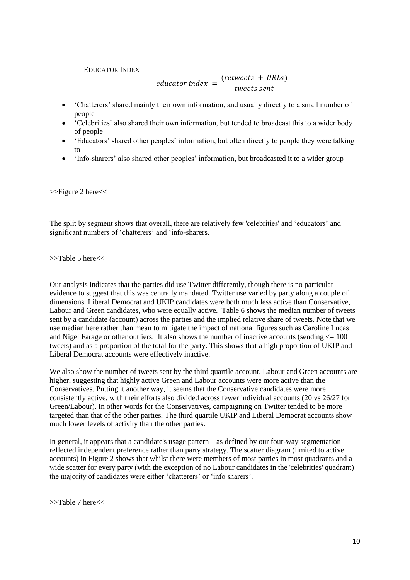#### EDUCATOR INDEX

$$
educator\ index = \frac{(retweets + URLs)}{tweets\ sent}
$$

- 'Chatterers' shared mainly their own information, and usually directly to a small number of people
- 'Celebrities' also shared their own information, but tended to broadcast this to a wider body of people
- 'Educators' shared other peoples' information, but often directly to people they were talking to
- 'Info-sharers' also shared other peoples' information, but broadcasted it to a wider group

>>Figure 2 here<<

The split by segment shows that overall, there are relatively few 'celebrities' and 'educators' and significant numbers of 'chatterers' and 'info-sharers.

>>Table 5 here<<

Our analysis indicates that the parties did use Twitter differently, though there is no particular evidence to suggest that this was centrally mandated. Twitter use varied by party along a couple of dimensions. Liberal Democrat and UKIP candidates were both much less active than Conservative, Labour and Green candidates, who were equally active. Table 6 shows the median number of tweets sent by a candidate (account) across the parties and the implied relative share of tweets. Note that we use median here rather than mean to mitigate the impact of national figures such as Caroline Lucas and Nigel Farage or other outliers. It also shows the number of inactive accounts (sending  $\leq 100$ ) tweets) and as a proportion of the total for the party. This shows that a high proportion of UKIP and Liberal Democrat accounts were effectively inactive.

We also show the number of tweets sent by the third quartile account. Labour and Green accounts are higher, suggesting that highly active Green and Labour accounts were more active than the Conservatives. Putting it another way, it seems that the Conservative candidates were more consistently active, with their efforts also divided across fewer individual accounts (20 vs 26/27 for Green/Labour). In other words for the Conservatives, campaigning on Twitter tended to be more targeted than that of the other parties. The third quartile UKIP and Liberal Democrat accounts show much lower levels of activity than the other parties.

In general, it appears that a candidate's usage pattern – as defined by our four-way segmentation – reflected independent preference rather than party strategy. The scatter diagram (limited to active accounts) in Figure 2 shows that whilst there were members of most parties in most quadrants and a wide scatter for every party (with the exception of no Labour candidates in the 'celebrities' quadrant) the majority of candidates were either 'chatterers' or 'info sharers'.

<sup>&</sup>gt;>Table 7 here<<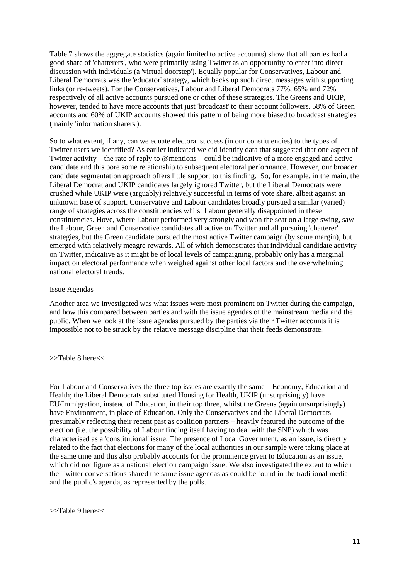Table 7 shows the aggregate statistics (again limited to active accounts) show that all parties had a good share of 'chatterers', who were primarily using Twitter as an opportunity to enter into direct discussion with individuals (a 'virtual doorstep'). Equally popular for Conservatives, Labour and Liberal Democrats was the 'educator' strategy, which backs up such direct messages with supporting links (or re-tweets). For the Conservatives, Labour and Liberal Democrats 77%, 65% and 72% respectively of all active accounts pursued one or other of these strategies. The Greens and UKIP, however, tended to have more accounts that just 'broadcast' to their account followers. 58% of Green accounts and 60% of UKIP accounts showed this pattern of being more biased to broadcast strategies (mainly 'information sharers').

So to what extent, if any, can we equate electoral success (in our constituencies) to the types of Twitter users we identified? As earlier indicated we did identify data that suggested that one aspect of Twitter activity – the rate of reply to @mentions – could be indicative of a more engaged and active candidate and this bore some relationship to subsequent electoral performance. However, our broader candidate segmentation approach offers little support to this finding. So, for example, in the main, the Liberal Democrat and UKIP candidates largely ignored Twitter, but the Liberal Democrats were crushed while UKIP were (arguably) relatively successful in terms of vote share, albeit against an unknown base of support. Conservative and Labour candidates broadly pursued a similar (varied) range of strategies across the constituencies whilst Labour generally disappointed in these constituencies. Hove, where Labour performed very strongly and won the seat on a large swing, saw the Labour, Green and Conservative candidates all active on Twitter and all pursuing 'chatterer' strategies, but the Green candidate pursued the most active Twitter campaign (by some margin), but emerged with relatively meagre rewards. All of which demonstrates that individual candidate activity on Twitter, indicative as it might be of local levels of campaigning, probably only has a marginal impact on electoral performance when weighed against other local factors and the overwhelming national electoral trends.

#### Issue Agendas

Another area we investigated was what issues were most prominent on Twitter during the campaign, and how this compared between parties and with the issue agendas of the mainstream media and the public. When we look at the issue agendas pursued by the parties via their Twitter accounts it is impossible not to be struck by the relative message discipline that their feeds demonstrate.

>>Table 8 here<<

For Labour and Conservatives the three top issues are exactly the same – Economy, Education and Health; the Liberal Democrats substituted Housing for Health, UKIP (unsurprisingly) have EU/Immigration, instead of Education, in their top three, whilst the Greens (again unsurprisingly) have Environment, in place of Education. Only the Conservatives and the Liberal Democrats – presumably reflecting their recent past as coalition partners – heavily featured the outcome of the election (i.e. the possibility of Labour finding itself having to deal with the SNP) which was characterised as a 'constitutional' issue. The presence of Local Government, as an issue, is directly related to the fact that elections for many of the local authorities in our sample were taking place at the same time and this also probably accounts for the prominence given to Education as an issue, which did not figure as a national election campaign issue. We also investigated the extent to which the Twitter conversations shared the same issue agendas as could be found in the traditional media and the public's agenda, as represented by the polls.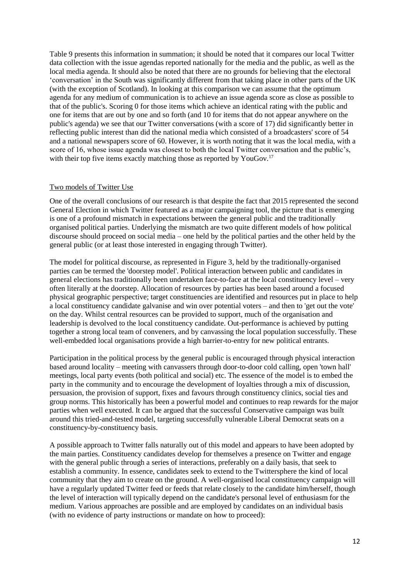Table 9 presents this information in summation; it should be noted that it compares our local Twitter data collection with the issue agendas reported nationally for the media and the public, as well as the local media agenda. It should also be noted that there are no grounds for believing that the electoral 'conversation' in the South was significantly different from that taking place in other parts of the UK (with the exception of Scotland). In looking at this comparison we can assume that the optimum agenda for any medium of communication is to achieve an issue agenda score as close as possible to that of the public's. Scoring 0 for those items which achieve an identical rating with the public and one for items that are out by one and so forth (and 10 for items that do not appear anywhere on the public's agenda) we see that our Twitter conversations (with a score of 17) did significantly better in reflecting public interest than did the national media which consisted of a broadcasters' score of 54 and a national newspapers score of 60. However, it is worth noting that it was the local media, with a score of 16, whose issue agenda was closest to both the local Twitter conversation and the public's, with their top five items exactly matching those as reported by YouGov.<sup>17</sup>

#### Two models of Twitter Use

One of the overall conclusions of our research is that despite the fact that 2015 represented the second General Election in which Twitter featured as a major campaigning tool, the picture that is emerging is one of a profound mismatch in expectations between the general public and the traditionally organised political parties. Underlying the mismatch are two quite different models of how political discourse should proceed on social media – one held by the political parties and the other held by the general public (or at least those interested in engaging through Twitter).

The model for political discourse, as represented in Figure 3, held by the traditionally-organised parties can be termed the 'doorstep model'. Political interaction between public and candidates in general elections has traditionally been undertaken face-to-face at the local constituency level – very often literally at the doorstep. Allocation of resources by parties has been based around a focused physical geographic perspective; target constituencies are identified and resources put in place to help a local constituency candidate galvanise and win over potential voters – and then to 'get out the vote' on the day. Whilst central resources can be provided to support, much of the organisation and leadership is devolved to the local constituency candidate. Out-performance is achieved by putting together a strong local team of conveners, and by canvassing the local population successfully. These well-embedded local organisations provide a high barrier-to-entry for new political entrants.

Participation in the political process by the general public is encouraged through physical interaction based around locality – meeting with canvassers through door-to-door cold calling, open 'town hall' meetings, local party events (both political and social) etc. The essence of the model is to embed the party in the community and to encourage the development of loyalties through a mix of discussion, persuasion, the provision of support, fixes and favours through constituency clinics, social ties and group norms. This historically has been a powerful model and continues to reap rewards for the major parties when well executed. It can be argued that the successful Conservative campaign was built around this tried-and-tested model, targeting successfully vulnerable Liberal Democrat seats on a constituency-by-constituency basis.

A possible approach to Twitter falls naturally out of this model and appears to have been adopted by the main parties. Constituency candidates develop for themselves a presence on Twitter and engage with the general public through a series of interactions, preferably on a daily basis, that seek to establish a community. In essence, candidates seek to extend to the Twittersphere the kind of local community that they aim to create on the ground. A well-organised local constituency campaign will have a regularly updated Twitter feed or feeds that relate closely to the candidate him/herself, though the level of interaction will typically depend on the candidate's personal level of enthusiasm for the medium. Various approaches are possible and are employed by candidates on an individual basis (with no evidence of party instructions or mandate on how to proceed):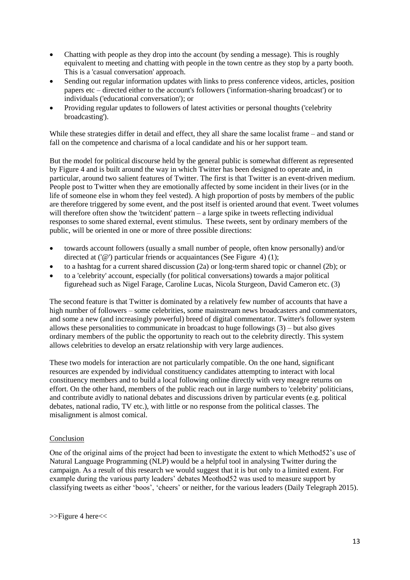- Chatting with people as they drop into the account (by sending a message). This is roughly equivalent to meeting and chatting with people in the town centre as they stop by a party booth. This is a 'casual conversation' approach.
- Sending out regular information updates with links to press conference videos, articles, position papers etc – directed either to the account's followers ('information-sharing broadcast') or to individuals ('educational conversation'); or
- Providing regular updates to followers of latest activities or personal thoughts ('celebrity broadcasting').

While these strategies differ in detail and effect, they all share the same localist frame – and stand or fall on the competence and charisma of a local candidate and his or her support team.

But the model for political discourse held by the general public is somewhat different as represented by Figure 4 and is built around the way in which Twitter has been designed to operate and, in particular, around two salient features of Twitter. The first is that Twitter is an event-driven medium. People post to Twitter when they are emotionally affected by some incident in their lives (or in the life of someone else in whom they feel vested). A high proportion of posts by members of the public are therefore triggered by some event, and the post itself is oriented around that event. Tweet volumes will therefore often show the 'twitcident' pattern – a large spike in tweets reflecting individual responses to some shared external, event stimulus. These tweets, sent by ordinary members of the public, will be oriented in one or more of three possible directions:

- towards account followers (usually a small number of people, often know personally) and/or directed at ('@') particular friends or acquaintances (See Figure 4) (1);
- to a hashtag for a current shared discussion (2a) or long-term shared topic or channel (2b); or
- to a 'celebrity' account, especially (for political conversations) towards a major political figurehead such as Nigel Farage, Caroline Lucas, Nicola Sturgeon, David Cameron etc. (3)

The second feature is that Twitter is dominated by a relatively few number of accounts that have a high number of followers – some celebrities, some mainstream news broadcasters and commentators, and some a new (and increasingly powerful) breed of digital commentator. Twitter's follower system allows these personalities to communicate in broadcast to huge followings (3) – but also gives ordinary members of the public the opportunity to reach out to the celebrity directly. This system allows celebrities to develop an ersatz relationship with very large audiences.

These two models for interaction are not particularly compatible. On the one hand, significant resources are expended by individual constituency candidates attempting to interact with local constituency members and to build a local following online directly with very meagre returns on effort. On the other hand, members of the public reach out in large numbers to 'celebrity' politicians, and contribute avidly to national debates and discussions driven by particular events (e.g. political debates, national radio, TV etc.), with little or no response from the political classes. The misalignment is almost comical.

#### Conclusion

One of the original aims of the project had been to investigate the extent to which Method52's use of Natural Language Programming (NLP) would be a helpful tool in analysing Twitter during the campaign. As a result of this research we would suggest that it is but only to a limited extent. For example during the various party leaders' debates Meothod52 was used to measure support by classifying tweets as either 'boos', 'cheers' or neither, for the various leaders (Daily Telegraph 2015).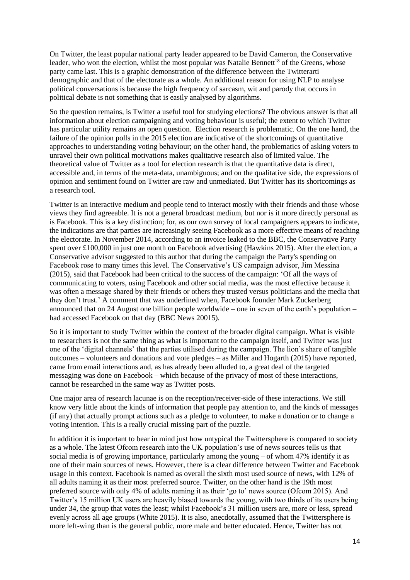On Twitter, the least popular national party leader appeared to be David Cameron, the Conservative leader, who won the election, whilst the most popular was Natalie Bennett<sup>18</sup> of the Greens, whose party came last. This is a graphic demonstration of the difference between the Twitterarti demographic and that of the electorate as a whole. An additional reason for using NLP to analyse political conversations is because the high frequency of sarcasm, wit and parody that occurs in political debate is not something that is easily analysed by algorithms.

So the question remains, is Twitter a useful tool for studying elections? The obvious answer is that all information about election campaigning and voting behaviour is useful; the extent to which Twitter has particular utility remains an open question. Election research is problematic. On the one hand, the failure of the opinion polls in the 2015 election are indicative of the shortcomings of quantitative approaches to understanding voting behaviour; on the other hand, the problematics of asking voters to unravel their own political motivations makes qualitative research also of limited value. The theoretical value of Twitter as a tool for election research is that the quantitative data is direct, accessible and, in terms of the meta-data, unambiguous; and on the qualitative side, the expressions of opinion and sentiment found on Twitter are raw and unmediated. But Twitter has its shortcomings as a research tool.

Twitter is an interactive medium and people tend to interact mostly with their friends and those whose views they find agreeable. It is not a general broadcast medium, but nor is it more directly personal as is Facebook. This is a key distinction; for, as our own survey of local campaigners appears to indicate, the indications are that parties are increasingly seeing Facebook as a more effective means of reaching the electorate. In November 2014, according to an invoice leaked to the BBC, the Conservative Party spent over £100,000 in just one month on Facebook advertising (Hawkins 2015). After the election, a Conservative advisor suggested to this author that during the campaign the Party's spending on Facebook rose to many times this level. The Conservative's US campaign advisor, Jim Messina (2015), said that Facebook had been critical to the success of the campaign: 'Of all the ways of communicating to voters, using Facebook and other social media, was the most effective because it was often a message shared by their friends or others they trusted versus politicians and the media that they don't trust.' A comment that was underlined when, Facebook founder Mark Zuckerberg announced that on 24 August one billion people worldwide – one in seven of the earth's population – had accessed Facebook on that day (BBC News 20015).

So it is important to study Twitter within the context of the broader digital campaign. What is visible to researchers is not the same thing as what is important to the campaign itself, and Twitter was just one of the 'digital channels' that the parties utilised during the campaign. The lion's share of tangible outcomes – volunteers and donations and vote pledges – as Miller and Hogarth (2015) have reported, came from email interactions and, as has already been alluded to, a great deal of the targeted messaging was done on Facebook – which because of the privacy of most of these interactions, cannot be researched in the same way as Twitter posts.

One major area of research lacunae is on the reception/receiver-side of these interactions. We still know very little about the kinds of information that people pay attention to, and the kinds of messages (if any) that actually prompt actions such as a pledge to volunteer, to make a donation or to change a voting intention. This is a really crucial missing part of the puzzle.

In addition it is important to bear in mind just how untypical the Twittersphere is compared to society as a whole. The latest Ofcom research into the UK population's use of news sources tells us that social media is of growing importance, particularly among the young – of whom 47% identify it as one of their main sources of news. However, there is a clear difference between Twitter and Facebook usage in this context. Facebook is named as overall the sixth most used source of news, with 12% of all adults naming it as their most preferred source. Twitter, on the other hand is the 19th most preferred source with only 4% of adults naming it as their 'go to' news source (Ofcom 2015). And Twitter's 15 million UK users are heavily biased towards the young, with two thirds of its users being under 34, the group that votes the least; whilst Facebook's 31 million users are, more or less, spread evenly across all age groups (White 2015). It is also, anecdotally, assumed that the Twittersphere is more left-wing than is the general public, more male and better educated. Hence, Twitter has not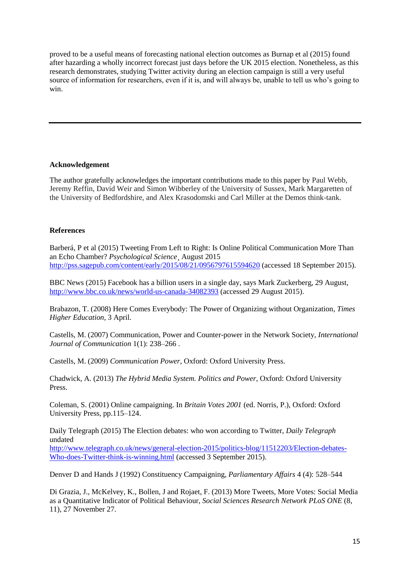proved to be a useful means of forecasting national election outcomes as Burnap et al (2015) found after hazarding a wholly incorrect forecast just days before the UK 2015 election. Nonetheless, as this research demonstrates, studying Twitter activity during an election campaign is still a very useful source of information for researchers, even if it is, and will always be, unable to tell us who's going to win.

#### **Acknowledgement**

The author gratefully acknowledges the important contributions made to this paper by Paul Webb, Jeremy Reffin, David Weir and Simon Wibberley of the University of Sussex, Mark Margaretten of the University of Bedfordshire, and Alex Krasodomski and Carl Miller at the Demos think-tank.

#### **References**

Barberá, P et al (2015) Tweeting From Left to Right: Is Online Political Communication More Than an Echo Chamber? *Psychological Science*¸ August 2015 <http://pss.sagepub.com/content/early/2015/08/21/0956797615594620> (accessed 18 September 2015).

BBC News (2015) Facebook has a billion users in a single day, says Mark Zuckerberg, 29 August, <http://www.bbc.co.uk/news/world-us-canada-34082393> (accessed 29 August 2015).

Brabazon, T. (2008) Here Comes Everybody: The Power of Organizing without Organization, *Times Higher Education*, 3 April.

Castells, M. (2007) Communication, Power and Counter-power in the Network Society, *International Journal of Communication* 1(1): 238–266 .

Castells, M. (2009) *Communication Power*, Oxford: Oxford University Press.

Chadwick, A. (2013) *The Hybrid Media System. Politics and Power*, Oxford: Oxford University Press.

Coleman, S. (2001) Online campaigning. In *Britain Votes 2001* (ed. Norris, P.), Oxford: Oxford University Press, pp.115–124.

Daily Telegraph (2015) The Election debates: who won according to Twitter, *Daily Telegraph* undated

[http://www.telegraph.co.uk/news/general-election-2015/politics-blog/11512203/Election-debates-](http://www.telegraph.co.uk/news/general-election-2015/politics-blog/11512203/Election-debates-Who-does-Twitter-think-is-winning.html)[Who-does-Twitter-think-is-winning.html](http://www.telegraph.co.uk/news/general-election-2015/politics-blog/11512203/Election-debates-Who-does-Twitter-think-is-winning.html) (accessed 3 September 2015).

Denver D and Hands J (1992) Constituency Campaigning, *Parliamentary Affairs* 4 (4): 528–544

Di Grazia, J., McKelvey, K., Bollen, J and Rojaet, F. (2013) More Tweets, More Votes: Social Media as a Quantitative Indicator of Political Behaviour, *Social Sciences Research Network PLoS ONE* (8, 11), 27 November 27.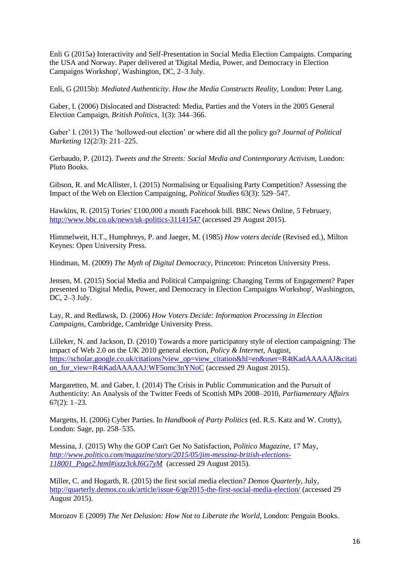Enli G (2015a) Interactivity and Self-Presentation in Social Media Election Campaigns. Comparing the USA and Norway. Paper delivered at 'Digital Media, Power, and Democracy in Election Campaigns Workshop', Washington, DC, 2–3 July.

Enli, G (2015b): *Mediated Authenticity. How the Media Constructs Reality*, London: Peter Lang.

Gaber, I. (2006) Dislocated and Distracted: Media, Parties and the Voters in the 2005 General Election Campaign, *British Politics*, 1(3): 344–366.

Gaber' I. (2013) The 'hollowed-out election' or where did all the policy go? *Journal of Political Marketing* 12(2/3): 211–225.

Gerbaudo, P. (2012). *Tweets and the Streets: Social Media and Contemporary Activism,* London: Pluto Books.

Gibson, R. and McAllister, I. (2015) Normalising or Equalising Party Competition? Assessing the Impact of the Web on Election Campaigning, *Political Studies* 63(3): 529–547.

Hawkins, R. (2015) Tories' £100,000 a month Facebook bill. BBC News Online, 5 February, <http://www.bbc.co.uk/news/uk-politics-31141547> (accessed 29 August 2015).

Himmelweit, H.T., Humphreys, P. and Jaeger, M. (1985) *How voters decide* (Revised ed.), Milton Keynes: Open University Press.

Hindman, M. (2009) *The Myth of Digital Democracy*, Princeton: Princeton University Press.

Jensen, M. (2015) Social Media and Political Campaigning: Changing Terms of Engagement? Paper presented to 'Digital Media, Power, and Democracy in Election Campaigns Workshop', Washington, DC, 2–3 July.

Lay, R. and Redlawsk, D. (2006) *How Voters Decide: Information Processing in Election Campaigns*, Cambridge, Cambridge University Press.

Lilleker, N. and Jackson, D. (2010) Towards a more participatory style of election campaigning: The impact of Web 2.0 on the UK 2010 general election, *Policy & Internet*, August, [https://scholar.google.co.uk/citations?view\\_op=view\\_citation&hl=en&user=R4tKadAAAAAJ&citati](https://scholar.google.co.uk/citations?view_op=view_citation&hl=en&user=R4tKadAAAAAJ&citation_for_view=R4tKadAAAAAJ:WF5omc3nYNoC) [on\\_for\\_view=R4tKadAAAAAJ:WF5omc3nYNoC](https://scholar.google.co.uk/citations?view_op=view_citation&hl=en&user=R4tKadAAAAAJ&citation_for_view=R4tKadAAAAAJ:WF5omc3nYNoC) (accessed 29 August 2015).

Margaretten, M. and Gaber, I. (2014) The Crisis in Public Communication and the Pursuit of Authenticity: An Analysis of the Twitter Feeds of Scottish MPs 2008–2010, *Parliamentary Affairs* 67(2): 1–23.

Margetts, H. (2006) Cyber Parties. In *Handbook of Party Politics* (ed. R.S. Katz and W. Crotty), London: Sage, pp. 258–535.

Messina, J. (2015) Why the GOP Can't Get No Satisfaction, *Politico Magazine*, 17 May, *[http://www.politico.com/magazine/story/2015/05/jim-messina-british-elections-](http://www.politico.com/magazine/story/2015/05/jim-messina-british-elections-118001_Page2.html#ixzz3ckJ6G7yM)[118001\\_Page2.html#ixzz3ckJ6G7yM](http://www.politico.com/magazine/story/2015/05/jim-messina-british-elections-118001_Page2.html#ixzz3ckJ6G7yM)* (accessed 29 August 2015).

Miller, C. and Hogarth, R. (2015) the first social media election? *Demos Quarterly*, July, <http://quarterly.demos.co.uk/article/issue-6/ge2015-the-first-social-media-election/> (accessed 29 August 2015).

Morozov E (2009) *The Net Delusion: How Not to Liberate the World*, London: Penguin Books.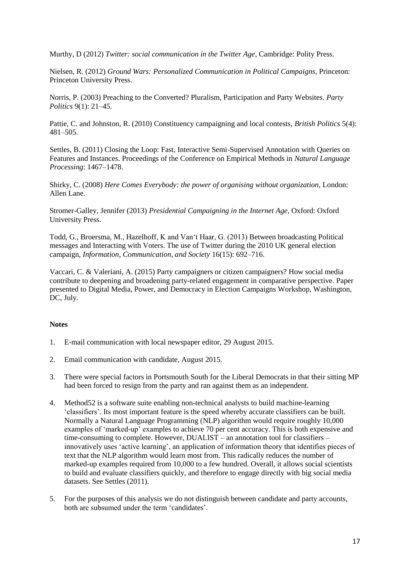Murthy, D (2012) *Twitter: social communication in the Twitter Age*, Cambridge: Polity Press.

Nielsen, R. (2012) *Ground Wars: Personalized Communication in Political Campaigns*, Princeton: Princeton University Press.

Norris, P. (2003) Preaching to the Converted? Pluralism, Participation and Party Websites. *Party Politics* 9(1): 21–45.

Pattie, C. and Johnston, R. (2010) Constituency campaigning and local contests, *British Politics* 5(4): 481–505.

Settles, B. (2011) Closing the Loop: Fast, Interactive Semi-Supervised Annotation with Queries on Features and Instances. Proceedings of the Conference on Empirical Methods in *Natural Language Processing*: 1467–1478.

Shirky, C. (2008) *Here Comes Everybody: the power of organising without organization*, London: Allen Lane.

Stromer-Galley, Jennifer (2013) *Presidential Campaigning in the Internet Age*, Oxford: Oxford University Press.

Todd, G., Broersma, M., Hazelhoff, K and Van't Haar, G. (2013) Between broadcasting Political messages and Interacting with Voters. The use of Twitter during the 2010 UK general election campaign, *Information, Communication, and Society* 16(15): 692–716.

Vaccari, C. & Valeriani, A. (2015) Party campaigners or citizen campaigners? How social media contribute to deepening and broadening party-related engagement in comparative perspective. Paper presented to Digital Media, Power, and Democracy in Election Campaigns Workshop, Washington, DC, July.

#### **Notes**

- 1. E-mail communication with local newspaper editor, 29 August 2015.
- 2. Email communication with candidate, August 2015.
- 3. There were special factors in Portsmouth South for the Liberal Democrats in that their sitting MP had been forced to resign from the party and ran against them as an independent.
- 4. Method52 is a software suite enabling non-technical analysts to build machine-learning 'classifiers'. Its most important feature is the speed whereby accurate classifiers can be built. Normally a Natural Language Programming (NLP) algorithm would require roughly 10,000 examples of 'marked-up' examples to achieve 70 per cent accuracy. This is both expensive and time-consuming to complete. However, DUALIST – an annotation tool for classifiers – innovatively uses 'active learning', an application of information theory that identifies pieces of text that the NLP algorithm would learn most from. This radically reduces the number of marked-up examples required from 10,000 to a few hundred. Overall, it allows social scientists to build and evaluate classifiers quickly, and therefore to engage directly with big social media datasets. See Settles (2011).
- 5. For the purposes of this analysis we do not distinguish between candidate and party accounts, both are subsumed under the term 'candidates'.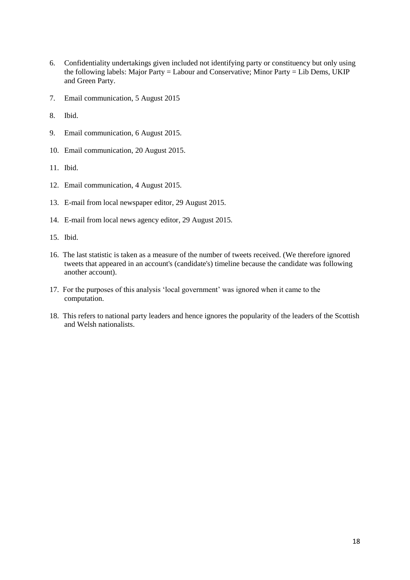- 6. Confidentiality undertakings given included not identifying party or constituency but only using the following labels: Major Party = Labour and Conservative; Minor Party = Lib Dems, UKIP and Green Party.
- 7. Email communication, 5 August 2015
- 8. Ibid.
- 9. Email communication, 6 August 2015.
- 10. Email communication, 20 August 2015.
- 11. Ibid.
- 12. Email communication, 4 August 2015.
- 13. E-mail from local newspaper editor, 29 August 2015.
- 14. E-mail from local news agency editor, 29 August 2015.
- 15. Ibid.
- 16. The last statistic is taken as a measure of the number of tweets received. (We therefore ignored tweets that appeared in an account's (candidate's) timeline because the candidate was following another account).
- 17. For the purposes of this analysis 'local government' was ignored when it came to the computation.
- 18. This refers to national party leaders and hence ignores the popularity of the leaders of the Scottish and Welsh nationalists.